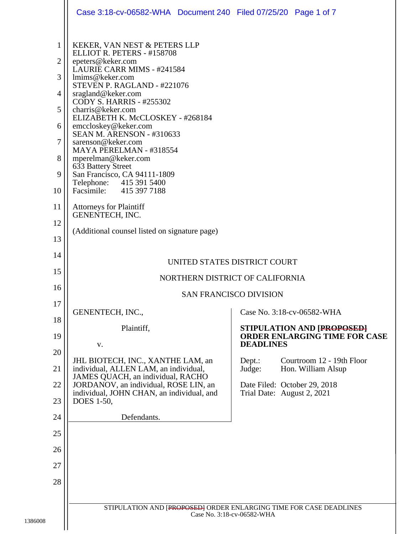|                                                 | Case 3:18-cv-06582-WHA  Document 240  Filed 07/25/20  Page 1 of 7                                                                                                                                                                                                                                                                                                                                                                                                                                                                 |                            |                                                            |  |
|-------------------------------------------------|-----------------------------------------------------------------------------------------------------------------------------------------------------------------------------------------------------------------------------------------------------------------------------------------------------------------------------------------------------------------------------------------------------------------------------------------------------------------------------------------------------------------------------------|----------------------------|------------------------------------------------------------|--|
| 1<br>2<br>3<br>4<br>5<br>6<br>7<br>8<br>9<br>10 | KEKER, VAN NEST & PETERS LLP<br>ELLIOT R. PETERS - #158708<br>epeters@keker.com<br>LAURIE CARR MIMS - #241584<br>lmims@keker.com<br>STEVEN P. RAGLAND - #221076<br>sragland@keker.com<br><b>CODY S. HARRIS - #255302</b><br>charris@keker.com<br>ELIZABETH K. McCLOSKEY - #268184<br>emccloskey@keker.com<br><b>SEAN M. ARENSON - #310633</b><br>sarenson@keker.com<br>MAYA PERELMAN - #318554<br>mperelman@keker.com<br>633 Battery Street<br>San Francisco, CA 94111-1809<br>Telephone: 415 391 5400<br>Facsimile: 415 397 7188 |                            |                                                            |  |
| 11                                              | <b>Attorneys for Plaintiff</b><br>GENENTECH, INC.                                                                                                                                                                                                                                                                                                                                                                                                                                                                                 |                            |                                                            |  |
| 12<br>13                                        | (Additional counsel listed on signature page)                                                                                                                                                                                                                                                                                                                                                                                                                                                                                     |                            |                                                            |  |
| 14                                              |                                                                                                                                                                                                                                                                                                                                                                                                                                                                                                                                   |                            |                                                            |  |
| 15                                              | UNITED STATES DISTRICT COURT                                                                                                                                                                                                                                                                                                                                                                                                                                                                                                      |                            |                                                            |  |
| 16                                              | NORTHERN DISTRICT OF CALIFORNIA<br><b>SAN FRANCISCO DIVISION</b>                                                                                                                                                                                                                                                                                                                                                                                                                                                                  |                            |                                                            |  |
| 17                                              | GENENTECH, INC.,                                                                                                                                                                                                                                                                                                                                                                                                                                                                                                                  |                            | Case No. 3:18-cv-06582-WHA                                 |  |
| 18                                              | Plaintiff,                                                                                                                                                                                                                                                                                                                                                                                                                                                                                                                        |                            | STIPULATION AND [PROPOSED]                                 |  |
| 19                                              | V.                                                                                                                                                                                                                                                                                                                                                                                                                                                                                                                                | <b>DEADLINES</b>           | ORDER ENLARGING TIME FOR CASE                              |  |
| 20                                              | JHL BIOTECH, INC., XANTHE LAM, an                                                                                                                                                                                                                                                                                                                                                                                                                                                                                                 | Dept.:                     | Courtroom 12 - 19th Floor                                  |  |
| 21                                              | individual, ALLEN LAM, an individual,<br>JAMES QUACH, an individual, RACHO                                                                                                                                                                                                                                                                                                                                                                                                                                                        | Judge:                     | Hon. William Alsup                                         |  |
| 22<br>23                                        | JORDANOV, an individual, ROSE LIN, an<br>individual, JOHN CHAN, an individual, and<br>DOES 1-50,                                                                                                                                                                                                                                                                                                                                                                                                                                  |                            | Date Filed: October 29, 2018<br>Trial Date: August 2, 2021 |  |
| 24                                              | Defendants.                                                                                                                                                                                                                                                                                                                                                                                                                                                                                                                       |                            |                                                            |  |
| 25                                              |                                                                                                                                                                                                                                                                                                                                                                                                                                                                                                                                   |                            |                                                            |  |
| 26                                              |                                                                                                                                                                                                                                                                                                                                                                                                                                                                                                                                   |                            |                                                            |  |
| 27                                              |                                                                                                                                                                                                                                                                                                                                                                                                                                                                                                                                   |                            |                                                            |  |
| 28                                              |                                                                                                                                                                                                                                                                                                                                                                                                                                                                                                                                   |                            |                                                            |  |
|                                                 |                                                                                                                                                                                                                                                                                                                                                                                                                                                                                                                                   |                            |                                                            |  |
|                                                 | STIPULATION AND [PROPOSED] ORDER ENLARGING TIME FOR CASE DEADLINES                                                                                                                                                                                                                                                                                                                                                                                                                                                                | Case No. 3:18-cv-06582-WHA |                                                            |  |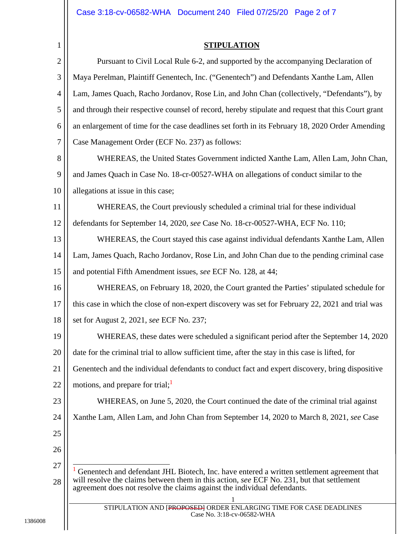## **STIPULATION**

| $\mathbf{2}$   | Pursuant to Civil Local Rule 6-2, and supported by the accompanying Declaration of                                                                                    |
|----------------|-----------------------------------------------------------------------------------------------------------------------------------------------------------------------|
| 3              | Maya Perelman, Plaintiff Genentech, Inc. ("Genentech") and Defendants Xanthe Lam, Allen                                                                               |
| $\overline{4}$ | Lam, James Quach, Racho Jordanov, Rose Lin, and John Chan (collectively, "Defendants"), by                                                                            |
| 5              | and through their respective counsel of record, hereby stipulate and request that this Court grant                                                                    |
| 6              | an enlargement of time for the case deadlines set forth in its February 18, 2020 Order Amending                                                                       |
| 7              | Case Management Order (ECF No. 237) as follows:                                                                                                                       |
| 8              | WHEREAS, the United States Government indicted Xanthe Lam, Allen Lam, John Chan,                                                                                      |
| 9              | and James Quach in Case No. 18-cr-00527-WHA on allegations of conduct similar to the                                                                                  |
| 10             | allegations at issue in this case;                                                                                                                                    |
| 11             | WHEREAS, the Court previously scheduled a criminal trial for these individual                                                                                         |
| 12             | defendants for September 14, 2020, see Case No. 18-cr-00527-WHA, ECF No. 110;                                                                                         |
| 13             | WHEREAS, the Court stayed this case against individual defendants Xanthe Lam, Allen                                                                                   |
| 14             | Lam, James Quach, Racho Jordanov, Rose Lin, and John Chan due to the pending criminal case                                                                            |
| 15             | and potential Fifth Amendment issues, see ECF No. 128, at 44;                                                                                                         |
| 16             | WHEREAS, on February 18, 2020, the Court granted the Parties' stipulated schedule for                                                                                 |
| 17             | this case in which the close of non-expert discovery was set for February 22, 2021 and trial was                                                                      |
| 18             | set for August 2, 2021, see ECF No. 237;                                                                                                                              |
| 19             | WHEREAS, these dates were scheduled a significant period after the September 14, 2020                                                                                 |
| 20             | date for the criminal trial to allow sufficient time, after the stay in this case is lifted, for                                                                      |
| 21             | Genentech and the individual defendants to conduct fact and expert discovery, bring dispositive                                                                       |
| 22             | motions, and prepare for trial;                                                                                                                                       |
| 23             | WHEREAS, on June 5, 2020, the Court continued the date of the criminal trial against                                                                                  |
| 24             | Xanthe Lam, Allen Lam, and John Chan from September 14, 2020 to March 8, 2021, see Case                                                                               |
| 25             |                                                                                                                                                                       |
| 26             |                                                                                                                                                                       |
| 27             | Genentech and defendant JHL Biotech, Inc. have entered a written settlement agreement that                                                                            |
| 28             | will resolve the claims between them in this action, see ECF No. 231, but that settlement<br>agreement does not resolve the claims against the individual defendants. |
|                | 1                                                                                                                                                                     |
|                | STIPULATION AND [PROPOSED] ORDER ENLARGING TIME FOR CASE DEADLINES<br>Case No. 3:18-cv-06582-WHA                                                                      |
|                |                                                                                                                                                                       |

1386008

1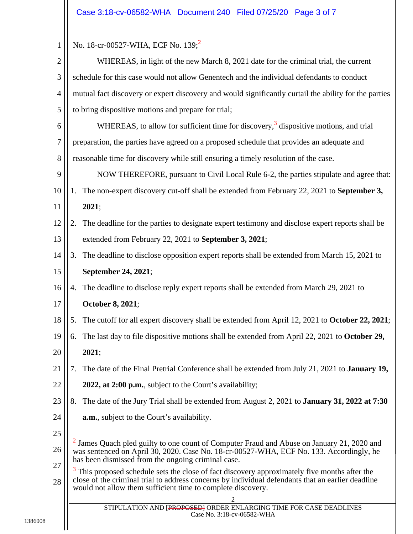| 1              | No. 18-cr-00527-WHA, ECF No. 139; <sup>2</sup>                                                                                                                                                                                                                                    |
|----------------|-----------------------------------------------------------------------------------------------------------------------------------------------------------------------------------------------------------------------------------------------------------------------------------|
| 2              | WHEREAS, in light of the new March 8, 2021 date for the criminal trial, the current                                                                                                                                                                                               |
| 3              | schedule for this case would not allow Genentech and the individual defendants to conduct                                                                                                                                                                                         |
| $\overline{4}$ | mutual fact discovery or expert discovery and would significantly curtail the ability for the parties                                                                                                                                                                             |
| 5              | to bring dispositive motions and prepare for trial;                                                                                                                                                                                                                               |
| 6              | WHEREAS, to allow for sufficient time for discovery, <sup>3</sup> dispositive motions, and trial                                                                                                                                                                                  |
| 7              | preparation, the parties have agreed on a proposed schedule that provides an adequate and                                                                                                                                                                                         |
| 8              | reasonable time for discovery while still ensuring a timely resolution of the case.                                                                                                                                                                                               |
| 9              | NOW THEREFORE, pursuant to Civil Local Rule 6-2, the parties stipulate and agree that:                                                                                                                                                                                            |
| 10             | The non-expert discovery cut-off shall be extended from February 22, 2021 to September 3,<br>1.                                                                                                                                                                                   |
| 11             | 2021;                                                                                                                                                                                                                                                                             |
| 12             | The deadline for the parties to designate expert testimony and disclose expert reports shall be<br>2.                                                                                                                                                                             |
| 13             | extended from February 22, 2021 to September 3, 2021;                                                                                                                                                                                                                             |
| 14             | The deadline to disclose opposition expert reports shall be extended from March 15, 2021 to<br>3.                                                                                                                                                                                 |
| 15             | September 24, 2021;                                                                                                                                                                                                                                                               |
| 16             | The deadline to disclose reply expert reports shall be extended from March 29, 2021 to<br>4.                                                                                                                                                                                      |
| 17             | October 8, 2021;                                                                                                                                                                                                                                                                  |
| 18             | The cutoff for all expert discovery shall be extended from April 12, 2021 to October 22, 2021;<br>5.                                                                                                                                                                              |
| 19             | The last day to file dispositive motions shall be extended from April 22, 2021 to October 29,<br>6.                                                                                                                                                                               |
| 20             | 2021;                                                                                                                                                                                                                                                                             |
| 21             | The date of the Final Pretrial Conference shall be extended from July 21, 2021 to January 19,<br>7.                                                                                                                                                                               |
| 22             | 2022, at 2:00 p.m., subject to the Court's availability;                                                                                                                                                                                                                          |
| 23             | The date of the Jury Trial shall be extended from August 2, 2021 to <b>January 31, 2022 at 7:30</b><br>8.                                                                                                                                                                         |
| 24             | <b>a.m.</b> , subject to the Court's availability.                                                                                                                                                                                                                                |
| 25             |                                                                                                                                                                                                                                                                                   |
| 26             | $2$ James Quach pled guilty to one count of Computer Fraud and Abuse on January 21, 2020 and<br>was sentenced on April 30, 2020. Case No. 18-cr-00527-WHA, ECF No. 133. Accordingly, he<br>has been dismissed from the ongoing criminal case.                                     |
| 27<br>28       | <sup>3</sup> This proposed schedule sets the close of fact discovery approximately five months after the<br>close of the criminal trial to address concerns by individual defendants that an earlier deadline<br>would not allow them sufficient time to complete discovery.<br>2 |
|                | STIPULATION AND [PROPOSED] ORDER ENLARGING TIME FOR CASE DEADLINES<br>Case No. 3:18-cv-06582-WHA                                                                                                                                                                                  |
|                |                                                                                                                                                                                                                                                                                   |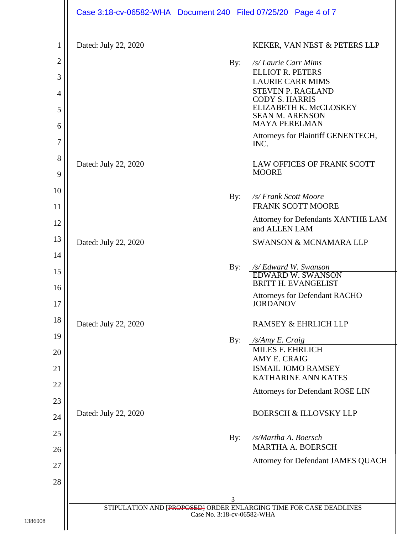|                | Case 3:18-cv-06582-WHA Document 240 Filed 07/25/20 Page 4 of 7 |                            |                                                                       |
|----------------|----------------------------------------------------------------|----------------------------|-----------------------------------------------------------------------|
| $\mathbf{1}$   | Dated: July 22, 2020                                           |                            | KEKER, VAN NEST & PETERS LLP                                          |
| $\overline{2}$ |                                                                | By:                        | /s/ Laurie Carr Mims                                                  |
| 3              |                                                                |                            | <b>ELLIOT R. PETERS</b><br><b>LAURIE CARR MIMS</b>                    |
| 4              |                                                                |                            | <b>STEVEN P. RAGLAND</b><br><b>CODY S. HARRIS</b>                     |
| 5              |                                                                |                            | ELIZABETH K. McCLOSKEY<br><b>SEAN M. ARENSON</b>                      |
| 6              |                                                                |                            | <b>MAYA PERELMAN</b>                                                  |
| 7              |                                                                |                            | Attorneys for Plaintiff GENENTECH,<br>INC.                            |
| 8              | Dated: July 22, 2020                                           |                            | LAW OFFICES OF FRANK SCOTT                                            |
| 9              |                                                                |                            | <b>MOORE</b>                                                          |
| 10             |                                                                | By:                        | /s/ Frank Scott Moore                                                 |
| 11             |                                                                |                            | <b>FRANK SCOTT MOORE</b>                                              |
| 12             |                                                                |                            | Attorney for Defendants XANTHE LAM<br>and ALLEN LAM                   |
| 13             | Dated: July 22, 2020                                           |                            | <b>SWANSON &amp; MCNAMARA LLP</b>                                     |
| 14             |                                                                | By:                        | /s/ Edward W. Swanson                                                 |
| 15<br>16       |                                                                |                            | <b>EDWARD W. SWANSON</b><br><b>BRITT H. EVANGELIST</b>                |
| $17\,$         |                                                                |                            | <b>Attorneys for Defendant RACHO</b><br><b>JORDANOV</b>               |
| 18             | Dated: July 22, 2020                                           |                            | RAMSEY & EHRLICH LLP                                                  |
| 19             |                                                                | By:                        | /s/Amy E. Craig                                                       |
| 20             |                                                                |                            | MILES F. EHRLICH<br>AMY E. CRAIG                                      |
| 21             |                                                                |                            | <b>ISMAIL JOMO RAMSEY</b>                                             |
| 22             |                                                                |                            | <b>KATHARINE ANN KATES</b><br><b>Attorneys for Defendant ROSE LIN</b> |
| 23             |                                                                |                            |                                                                       |
| 24             | Dated: July 22, 2020                                           |                            | <b>BOERSCH &amp; ILLOVSKY LLP</b>                                     |
| 25             |                                                                | By:                        | /s/Martha A. Boersch                                                  |
| 26             |                                                                |                            | <b>MARTHA A. BOERSCH</b>                                              |
| 27             |                                                                |                            | Attorney for Defendant JAMES QUACH                                    |
| 28             |                                                                |                            |                                                                       |
|                |                                                                | 3                          |                                                                       |
|                |                                                                | Case No. 3:18-cv-06582-WHA | STIPULATION AND [PROPOSED] ORDER ENLARGING TIME FOR CASE DEADLINES    |

1386008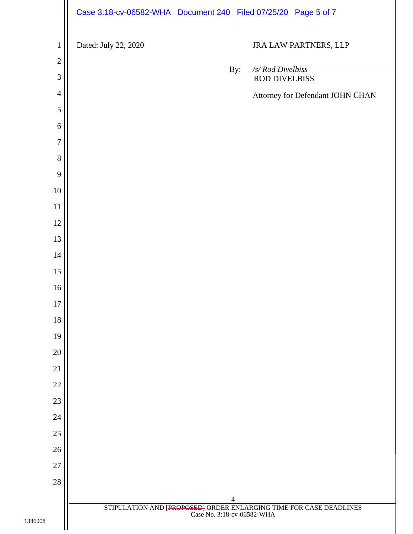|                | Case 3:18-cv-06582-WHA Document 240 Filed 07/25/20 Page 5 of 7                                               |
|----------------|--------------------------------------------------------------------------------------------------------------|
| $\mathbf{1}$   | Dated: July 22, 2020<br>JRA LAW PARTNERS, LLP                                                                |
| $\overline{2}$ | /s/ Rod Divelbiss<br>By:                                                                                     |
| $\mathfrak{Z}$ | ROD DIVELBISS                                                                                                |
| $\overline{4}$ | Attorney for Defendant JOHN CHAN                                                                             |
| 5              |                                                                                                              |
| 6              |                                                                                                              |
| $\overline{7}$ |                                                                                                              |
| $8\,$          |                                                                                                              |
| 9              |                                                                                                              |
| $10\,$         |                                                                                                              |
| 11             |                                                                                                              |
| $12\,$         |                                                                                                              |
| 13             |                                                                                                              |
|                |                                                                                                              |
| $14\,$         |                                                                                                              |
| 15             |                                                                                                              |
| 16             |                                                                                                              |
| $17\,$         |                                                                                                              |
| 18             |                                                                                                              |
| 19             |                                                                                                              |
| 20             |                                                                                                              |
| 21             |                                                                                                              |
| $22\,$         |                                                                                                              |
| $23\,$         |                                                                                                              |
| $24\,$         |                                                                                                              |
| $25\,$         |                                                                                                              |
| $26\,$         |                                                                                                              |
| 27             |                                                                                                              |
| $28\,$         |                                                                                                              |
|                | $\overline{4}$                                                                                               |
| 1386008        | STIPULATION AND $[\text{PROPOSED}]\noRDER ENLARGING TIME FOR CASE DEADLINES\n    Case No. 3:18-cv-06582-WHA$ |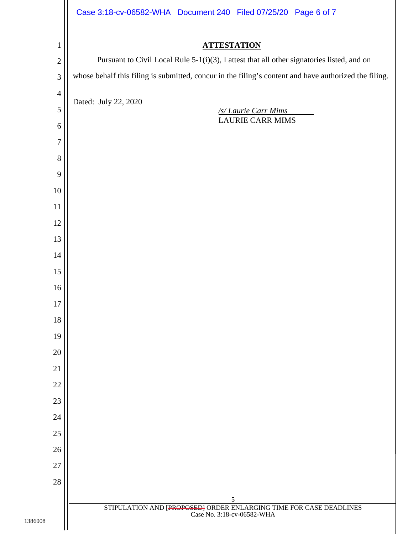|                | Case 3:18-cv-06582-WHA Document 240 Filed 07/25/20 Page 6 of 7                                                                    |
|----------------|-----------------------------------------------------------------------------------------------------------------------------------|
| $\mathbf{1}$   | <b>ATTESTATION</b>                                                                                                                |
| $\overline{c}$ | Pursuant to Civil Local Rule 5-1(i)(3), I attest that all other signatories listed, and on                                        |
| 3              | whose behalf this filing is submitted, concur in the filing's content and have authorized the filing.                             |
| $\overline{4}$ |                                                                                                                                   |
| 5              | Dated: July 22, 2020<br>/s/ Laurie Carr Mims                                                                                      |
| 6              | <b>LAURIE CARR MIMS</b>                                                                                                           |
| 7              |                                                                                                                                   |
| 8              |                                                                                                                                   |
| 9              |                                                                                                                                   |
| 10             |                                                                                                                                   |
| 11             |                                                                                                                                   |
| 12             |                                                                                                                                   |
| 13             |                                                                                                                                   |
| 14             |                                                                                                                                   |
| 15             |                                                                                                                                   |
| 16             |                                                                                                                                   |
| $17\,$         |                                                                                                                                   |
| 18             |                                                                                                                                   |
| 19             |                                                                                                                                   |
| 20             |                                                                                                                                   |
| 21             |                                                                                                                                   |
| 22             |                                                                                                                                   |
| 23             |                                                                                                                                   |
| 24             |                                                                                                                                   |
| 25             |                                                                                                                                   |
| 26             |                                                                                                                                   |
| 27             |                                                                                                                                   |
| $28\,$         |                                                                                                                                   |
|                | 5<br>$\frac{\text{STIPULATION AND [PROPOSEB]} \text{ORDER ENLARGING TIME FOR CASE DEADLINES}}{\text{Case No. 3:18-cv-06582-WHA}}$ |
|                |                                                                                                                                   |